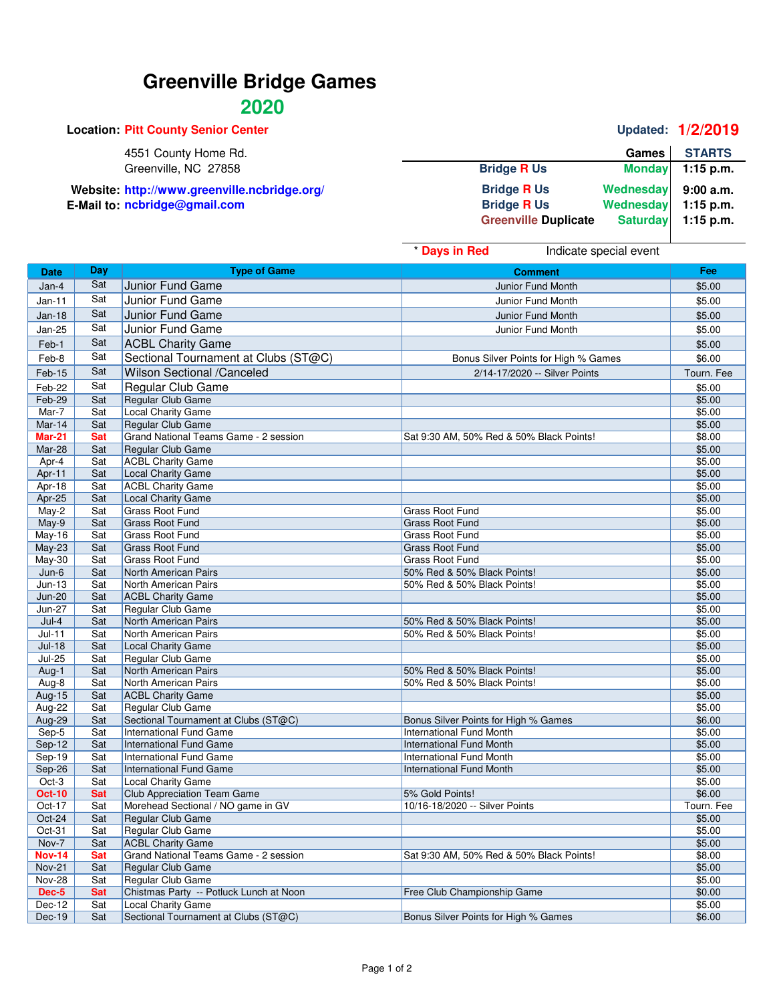## **Greenville Bridge Games**

## **2020**

|                             |                 | Updated: 1/2/2019 |
|-----------------------------|-----------------|-------------------|
|                             | <b>Games</b>    | <b>STARTS</b>     |
| <b>Bridge R Us</b>          | <b>Monday</b>   | $1:15$ p.m.       |
| <b>Bridge R Us</b>          | Wednesday       | 9:00a.m.          |
| <b>Bridge R Us</b>          | Wednesday       | $1:15$ p.m.       |
| <b>Greenville Duplicate</b> | <b>Saturday</b> | $1:15$ p.m.       |
|                             |                 |                   |

|                                |            |                                                                   | * Days in Red<br>Indicate special event  |                  |
|--------------------------------|------------|-------------------------------------------------------------------|------------------------------------------|------------------|
| <b>Date</b>                    | Day        | <b>Type of Game</b>                                               | <b>Comment</b>                           | Fee              |
| Jan-4                          | Sat        | Junior Fund Game                                                  | Junior Fund Month                        | \$5.00           |
| $Jan-11$                       | Sat        | Junior Fund Game                                                  | Junior Fund Month                        | \$5.00           |
| Jan-18                         | Sat        | Junior Fund Game                                                  | Junior Fund Month                        | \$5.00           |
| <b>Jan-25</b>                  | Sat        | Junior Fund Game                                                  | Junior Fund Month                        | \$5.00           |
| Feb-1                          | Sat        | <b>ACBL Charity Game</b>                                          |                                          | \$5.00           |
|                                | Sat        |                                                                   |                                          |                  |
| Feb-8                          |            | Sectional Tournament at Clubs (ST@C)                              | Bonus Silver Points for High % Games     | \$6.00           |
| Feb-15                         | Sat        | Wilson Sectional /Canceled                                        | 2/14-17/2020 -- Silver Points            | Tourn. Fee       |
| Feb-22                         | Sat        | Regular Club Game                                                 |                                          | \$5.00           |
| Feb-29                         | Sat        | Regular Club Game                                                 |                                          | \$5.00           |
| Mar-7                          | Sat        | <b>Local Charity Game</b>                                         |                                          | \$5.00           |
| Mar-14                         | Sat        | <b>Regular Club Game</b>                                          |                                          | \$5.00           |
| <b>Mar-21</b>                  | <b>Sat</b> | Grand National Teams Game - 2 session                             | Sat 9:30 AM, 50% Red & 50% Black Points! | \$8.00           |
| Mar-28                         | Sat        | <b>Regular Club Game</b>                                          |                                          | \$5.00           |
| Apr-4                          | Sat        | <b>ACBL Charity Game</b>                                          |                                          | \$5.00           |
| Apr-11                         | Sat        | Local Charity Game                                                |                                          | \$5.00           |
| Apr-18                         | Sat        | <b>ACBL Charity Game</b>                                          |                                          | \$5.00           |
| Apr-25<br>$May-2$              | Sat<br>Sat | <b>Local Charity Game</b><br><b>Grass Root Fund</b>               | <b>Grass Root Fund</b>                   | \$5.00<br>\$5.00 |
|                                | Sat        | <b>Grass Root Fund</b>                                            | <b>Grass Root Fund</b>                   | \$5.00           |
| May-9<br><b>May-16</b>         | Sat        | <b>Grass Root Fund</b>                                            | <b>Grass Root Fund</b>                   | \$5.00           |
| May-23                         | Sat        | <b>Grass Root Fund</b>                                            | <b>Grass Root Fund</b>                   | \$5.00           |
| <b>May-30</b>                  | Sat        | <b>Grass Root Fund</b>                                            | <b>Grass Root Fund</b>                   | \$5.00           |
| $Jun-6$                        | Sat        | North American Pairs                                              | 50% Red & 50% Black Points!              | \$5.00           |
| $Jun-13$                       | Sat        | North American Pairs                                              | 50% Red & 50% Black Points!              | \$5.00           |
| $Jun-20$                       | Sat        | <b>ACBL Charity Game</b>                                          |                                          | \$5.00           |
| <b>Jun-27</b>                  | Sat        | Regular Club Game                                                 |                                          | \$5.00           |
| $Jul-4$                        | Sat        | North American Pairs                                              | 50% Red & 50% Black Points!              | \$5.00           |
| $Jul-11$                       | Sat        | North American Pairs                                              | 50% Red & 50% Black Points!              | \$5.00           |
| $Jul-18$                       | Sat        | Local Charity Game                                                |                                          | \$5.00           |
| <b>Jul-25</b>                  | Sat        | Regular Club Game                                                 |                                          | \$5.00           |
| Aug-1                          | Sat        | North American Pairs                                              | 50% Red & 50% Black Points!              | \$5.00           |
| Aug-8                          | Sat        | North American Pairs                                              | 50% Red & 50% Black Points!              | \$5.00           |
| <b>Aug-15</b>                  | Sat        | <b>ACBL Charity Game</b>                                          |                                          | \$5.00           |
| Aug-22                         | Sat        | Regular Club Game                                                 |                                          | \$5.00           |
| Aug-29                         | Sat        | Sectional Tournament at Clubs (ST@C)                              | Bonus Silver Points for High % Games     | \$6.00           |
| Sep-5                          | Sat        | International Fund Game                                           | <b>International Fund Month</b>          | \$5.00           |
| Sep-12                         | Sat        | <b>International Fund Game</b>                                    | <b>International Fund Month</b>          | \$5.00           |
| $Sep-19$                       | Sat        | <b>International Fund Game</b>                                    | <b>International Fund Month</b>          | \$5.00           |
| Sep-26                         | Sat        | <b>International Fund Game</b>                                    | <b>International Fund Month</b>          | \$5.00           |
| Oct-3                          | Sat        | Local Charity Game                                                |                                          | \$5.00           |
| <b>Oct-10</b>                  | <b>Sat</b> | <b>Club Appreciation Team Game</b>                                | 5% Gold Points!                          | \$6.00           |
| Oct-17                         | Sat        | Morehead Sectional / NO game in GV                                | 10/16-18/2020 -- Silver Points           | Tourn. Fee       |
| Oct-24                         | Sat        | Regular Club Game                                                 |                                          | \$5.00           |
| Oct-31                         | Sat        | Regular Club Game                                                 |                                          | \$5.00           |
| Nov-7                          | Sat        | <b>ACBL Charity Game</b>                                          |                                          | \$5.00           |
| <b>Nov-14</b>                  | <b>Sat</b> | Grand National Teams Game - 2 session<br><b>Regular Club Game</b> | Sat 9:30 AM, 50% Red & 50% Black Points! | \$8.00           |
| <b>Nov-21</b><br><b>Nov-28</b> | Sat<br>Sat | Regular Club Game                                                 |                                          | \$5.00<br>\$5.00 |
| Dec-5                          | Sat        | Chistmas Party -- Potluck Lunch at Noon                           | Free Club Championship Game              | \$0.00           |
| Dec-12                         | Sat        | Local Charity Game                                                |                                          | \$5.00           |
| Dec-19                         | Sat        | Sectional Tournament at Clubs (ST@C)                              | Bonus Silver Points for High % Games     | \$6.00           |
|                                |            |                                                                   |                                          |                  |